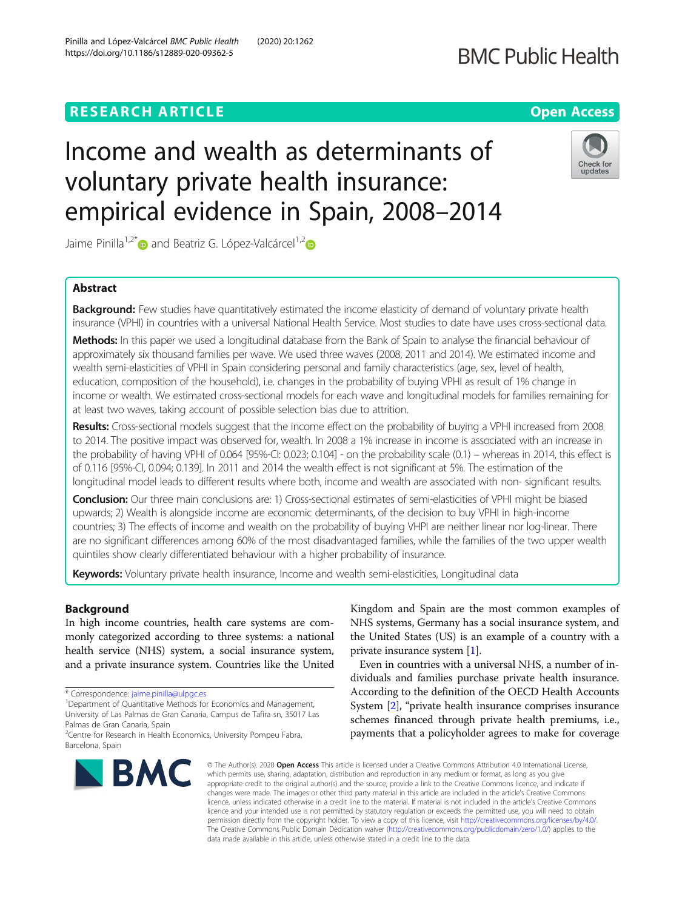# **RESEARCH ARTICLE Example 2014 12:30 The Contract of Contract ACCESS**

# Income and wealth as determinants of voluntary private health insurance: empirical evidence in Spain, 2008–2014

Jaime Pinilla<sup>1,2\*</sup> and Beatriz G. López-Valcárcel<sup>1,2</sup>

# Abstract

Background: Few studies have quantitatively estimated the income elasticity of demand of voluntary private health insurance (VPHI) in countries with a universal National Health Service. Most studies to date have uses cross-sectional data.

Methods: In this paper we used a longitudinal database from the Bank of Spain to analyse the financial behaviour of approximately six thousand families per wave. We used three waves (2008, 2011 and 2014). We estimated income and wealth semi-elasticities of VPHI in Spain considering personal and family characteristics (age, sex, level of health, education, composition of the household), i.e. changes in the probability of buying VPHI as result of 1% change in income or wealth. We estimated cross-sectional models for each wave and longitudinal models for families remaining for at least two waves, taking account of possible selection bias due to attrition.

Results: Cross-sectional models suggest that the income effect on the probability of buying a VPHI increased from 2008 to 2014. The positive impact was observed for, wealth. In 2008 a 1% increase in income is associated with an increase in the probability of having VPHI of 0.064 [95%-CI: 0.023; 0.104] - on the probability scale (0.1) – whereas in 2014, this effect is of 0.116 [95%-CI, 0.094; 0.139]. In 2011 and 2014 the wealth effect is not significant at 5%. The estimation of the longitudinal model leads to different results where both, income and wealth are associated with non- significant results.

**Conclusion:** Our three main conclusions are: 1) Cross-sectional estimates of semi-elasticities of VPHI might be biased upwards; 2) Wealth is alongside income are economic determinants, of the decision to buy VPHI in high-income countries; 3) The effects of income and wealth on the probability of buying VHPI are neither linear nor log-linear. There are no significant differences among 60% of the most disadvantaged families, while the families of the two upper wealth quintiles show clearly differentiated behaviour with a higher probability of insurance.

Keywords: Voluntary private health insurance, Income and wealth semi-elasticities, Longitudinal data

# Background

In high income countries, health care systems are commonly categorized according to three systems: a national health service (NHS) system, a social insurance system, and a private insurance system. Countries like the United

\* Correspondence: [jaime.pinilla@ulpgc.es](mailto:jaime.pinilla@ulpgc.es) <sup>1</sup>

<sup>1</sup> Department of Quantitative Methods for Economics and Management, University of Las Palmas de Gran Canaria, Campus de Tafira sn, 35017 Las

Kingdom and Spain are the most common examples of NHS systems, Germany has a social insurance system, and the United States (US) is an example of a country with a private insurance system [[1\]](#page-8-0).

Even in countries with a universal NHS, a number of individuals and families purchase private health insurance. According to the definition of the OECD Health Accounts System [\[2](#page-8-0)], "private health insurance comprises insurance schemes financed through private health premiums, i.e., payments that a policyholder agrees to make for coverage

© The Author(s), 2020 **Open Access** This article is licensed under a Creative Commons Attribution 4.0 International License, which permits use, sharing, adaptation, distribution and reproduction in any medium or format, as long as you give appropriate credit to the original author(s) and the source, provide a link to the Creative Commons licence, and indicate if changes were made. The images or other third party material in this article are included in the article's Creative Commons licence, unless indicated otherwise in a credit line to the material. If material is not included in the article's Creative Commons licence and your intended use is not permitted by statutory regulation or exceeds the permitted use, you will need to obtain permission directly from the copyright holder. To view a copy of this licence, visit [http://creativecommons.org/licenses/by/4.0/.](http://creativecommons.org/licenses/by/4.0/) The Creative Commons Public Domain Dedication waiver [\(http://creativecommons.org/publicdomain/zero/1.0/](http://creativecommons.org/publicdomain/zero/1.0/)) applies to the data made available in this article, unless otherwise stated in a credit line to the data.

Palmas de Gran Canaria, Spain





<sup>&</sup>lt;sup>2</sup> Centre for Research in Health Economics, University Pompeu Fabra,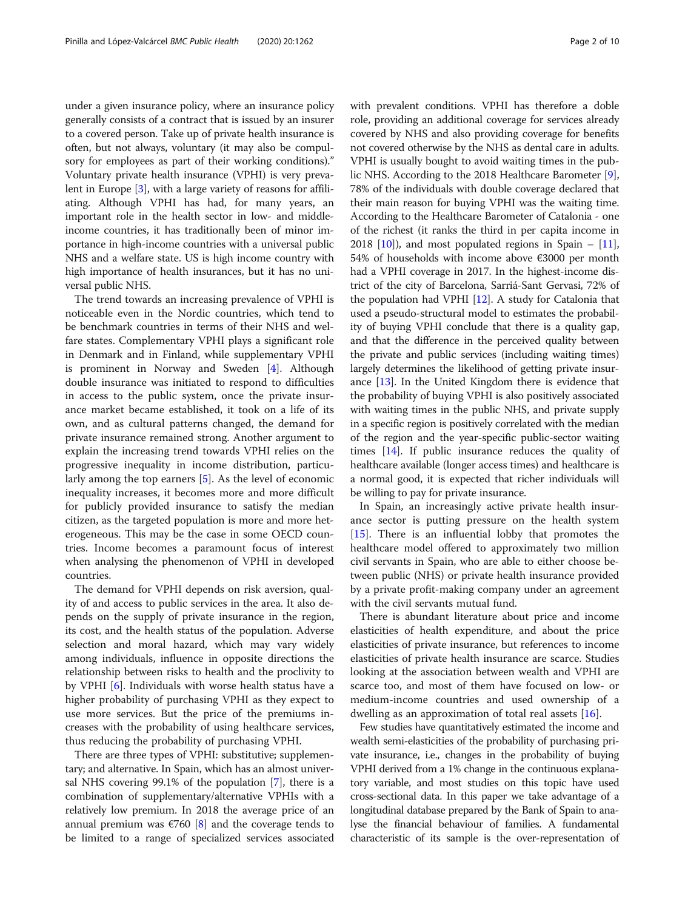under a given insurance policy, where an insurance policy generally consists of a contract that is issued by an insurer to a covered person. Take up of private health insurance is often, but not always, voluntary (it may also be compulsory for employees as part of their working conditions)." Voluntary private health insurance (VPHI) is very prevalent in Europe [\[3\]](#page-8-0), with a large variety of reasons for affiliating. Although VPHI has had, for many years, an important role in the health sector in low- and middleincome countries, it has traditionally been of minor importance in high-income countries with a universal public NHS and a welfare state. US is high income country with high importance of health insurances, but it has no universal public NHS.

The trend towards an increasing prevalence of VPHI is noticeable even in the Nordic countries, which tend to be benchmark countries in terms of their NHS and welfare states. Complementary VPHI plays a significant role in Denmark and in Finland, while supplementary VPHI is prominent in Norway and Sweden [\[4](#page-8-0)]. Although double insurance was initiated to respond to difficulties in access to the public system, once the private insurance market became established, it took on a life of its own, and as cultural patterns changed, the demand for private insurance remained strong. Another argument to explain the increasing trend towards VPHI relies on the progressive inequality in income distribution, particularly among the top earners [\[5\]](#page-8-0). As the level of economic inequality increases, it becomes more and more difficult for publicly provided insurance to satisfy the median citizen, as the targeted population is more and more heterogeneous. This may be the case in some OECD countries. Income becomes a paramount focus of interest when analysing the phenomenon of VPHI in developed countries.

The demand for VPHI depends on risk aversion, quality of and access to public services in the area. It also depends on the supply of private insurance in the region, its cost, and the health status of the population. Adverse selection and moral hazard, which may vary widely among individuals, influence in opposite directions the relationship between risks to health and the proclivity to by VPHI [\[6\]](#page-8-0). Individuals with worse health status have a higher probability of purchasing VPHI as they expect to use more services. But the price of the premiums increases with the probability of using healthcare services, thus reducing the probability of purchasing VPHI.

There are three types of VPHI: substitutive; supplementary; and alternative. In Spain, which has an almost universal NHS covering 99.1% of the population [\[7\]](#page-8-0), there is a combination of supplementary/alternative VPHIs with a relatively low premium. In 2018 the average price of an annual premium was  $\epsilon$ 760 [\[8](#page-8-0)] and the coverage tends to be limited to a range of specialized services associated with prevalent conditions. VPHI has therefore a doble role, providing an additional coverage for services already covered by NHS and also providing coverage for benefits not covered otherwise by the NHS as dental care in adults. VPHI is usually bought to avoid waiting times in the public NHS. According to the 2018 Healthcare Barometer [[9](#page-8-0)], 78% of the individuals with double coverage declared that their main reason for buying VPHI was the waiting time. According to the Healthcare Barometer of Catalonia - one of the richest (it ranks the third in per capita income in 2018  $[10]$ ), and most populated regions in Spain –  $[11]$  $[11]$  $[11]$ , 54% of households with income above €3000 per month had a VPHI coverage in 2017. In the highest-income district of the city of Barcelona, Sarriá-Sant Gervasi, 72% of the population had VPHI [\[12\]](#page-8-0). A study for Catalonia that used a pseudo-structural model to estimates the probability of buying VPHI conclude that there is a quality gap, and that the difference in the perceived quality between the private and public services (including waiting times) largely determines the likelihood of getting private insurance [\[13\]](#page-8-0). In the United Kingdom there is evidence that the probability of buying VPHI is also positively associated with waiting times in the public NHS, and private supply in a specific region is positively correlated with the median of the region and the year-specific public-sector waiting times [\[14\]](#page-8-0). If public insurance reduces the quality of healthcare available (longer access times) and healthcare is a normal good, it is expected that richer individuals will be willing to pay for private insurance.

In Spain, an increasingly active private health insurance sector is putting pressure on the health system [[15\]](#page-8-0). There is an influential lobby that promotes the healthcare model offered to approximately two million civil servants in Spain, who are able to either choose between public (NHS) or private health insurance provided by a private profit-making company under an agreement with the civil servants mutual fund.

There is abundant literature about price and income elasticities of health expenditure, and about the price elasticities of private insurance, but references to income elasticities of private health insurance are scarce. Studies looking at the association between wealth and VPHI are scarce too, and most of them have focused on low- or medium-income countries and used ownership of a dwelling as an approximation of total real assets [\[16](#page-8-0)].

Few studies have quantitatively estimated the income and wealth semi-elasticities of the probability of purchasing private insurance, i.e., changes in the probability of buying VPHI derived from a 1% change in the continuous explanatory variable, and most studies on this topic have used cross-sectional data. In this paper we take advantage of a longitudinal database prepared by the Bank of Spain to analyse the financial behaviour of families. A fundamental characteristic of its sample is the over-representation of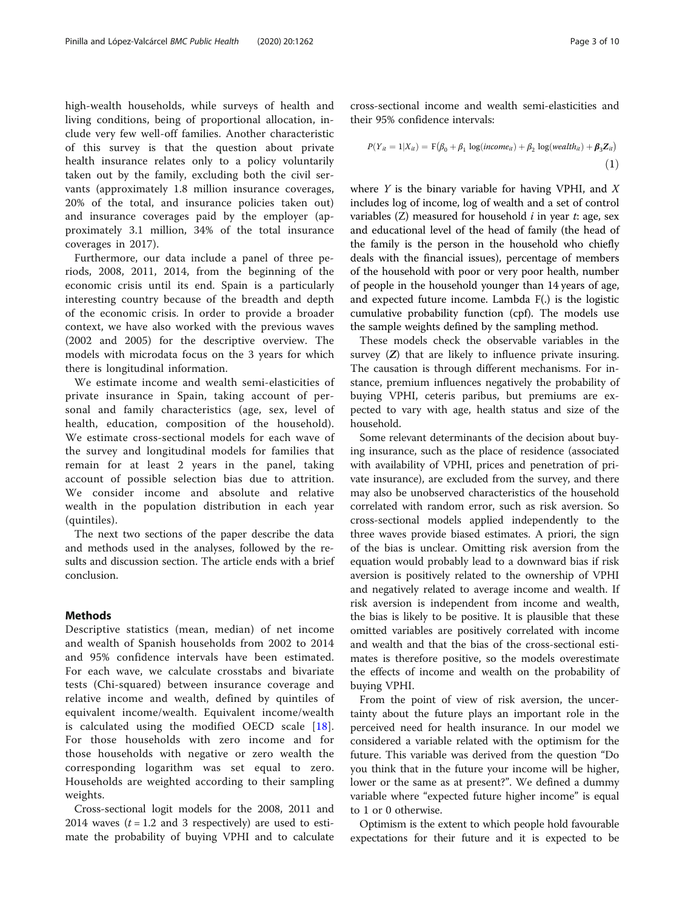<span id="page-2-0"></span>high-wealth households, while surveys of health and living conditions, being of proportional allocation, include very few well-off families. Another characteristic of this survey is that the question about private health insurance relates only to a policy voluntarily taken out by the family, excluding both the civil servants (approximately 1.8 million insurance coverages, 20% of the total, and insurance policies taken out) and insurance coverages paid by the employer (approximately 3.1 million, 34% of the total insurance coverages in 2017).

Furthermore, our data include a panel of three periods, 2008, 2011, 2014, from the beginning of the economic crisis until its end. Spain is a particularly interesting country because of the breadth and depth of the economic crisis. In order to provide a broader context, we have also worked with the previous waves (2002 and 2005) for the descriptive overview. The models with microdata focus on the 3 years for which there is longitudinal information.

We estimate income and wealth semi-elasticities of private insurance in Spain, taking account of personal and family characteristics (age, sex, level of health, education, composition of the household). We estimate cross-sectional models for each wave of the survey and longitudinal models for families that remain for at least 2 years in the panel, taking account of possible selection bias due to attrition. We consider income and absolute and relative wealth in the population distribution in each year (quintiles).

The next two sections of the paper describe the data and methods used in the analyses, followed by the results and discussion section. The article ends with a brief conclusion.

# Methods

Descriptive statistics (mean, median) of net income and wealth of Spanish households from 2002 to 2014 and 95% confidence intervals have been estimated. For each wave, we calculate crosstabs and bivariate tests (Chi-squared) between insurance coverage and relative income and wealth, defined by quintiles of equivalent income/wealth. Equivalent income/wealth is calculated using the modified OECD scale [[18](#page-9-0)]. For those households with zero income and for those households with negative or zero wealth the corresponding logarithm was set equal to zero. Households are weighted according to their sampling weights.

Cross-sectional logit models for the 2008, 2011 and 2014 waves  $(t = 1.2$  and 3 respectively) are used to estimate the probability of buying VPHI and to calculate cross-sectional income and wealth semi-elasticities and their 95% confidence intervals:

$$
P(Y_{it} = 1 | X_{it}) = F(\beta_0 + \beta_1 \log(income_{it}) + \beta_2 \log(wedth_{it}) + \beta_3 Z_{it})
$$
\n(1)

where  $Y$  is the binary variable for having VPHI, and  $X$ includes log of income, log of wealth and a set of control variables  $(Z)$  measured for household *i* in year *t*: age, sex and educational level of the head of family (the head of the family is the person in the household who chiefly deals with the financial issues), percentage of members of the household with poor or very poor health, number of people in the household younger than 14 years of age, and expected future income. Lambda F(.) is the logistic cumulative probability function (cpf). The models use the sample weights defined by the sampling method.

These models check the observable variables in the survey  $(Z)$  that are likely to influence private insuring. The causation is through different mechanisms. For instance, premium influences negatively the probability of buying VPHI, ceteris paribus, but premiums are expected to vary with age, health status and size of the household.

Some relevant determinants of the decision about buying insurance, such as the place of residence (associated with availability of VPHI, prices and penetration of private insurance), are excluded from the survey, and there may also be unobserved characteristics of the household correlated with random error, such as risk aversion. So cross-sectional models applied independently to the three waves provide biased estimates. A priori, the sign of the bias is unclear. Omitting risk aversion from the equation would probably lead to a downward bias if risk aversion is positively related to the ownership of VPHI and negatively related to average income and wealth. If risk aversion is independent from income and wealth, the bias is likely to be positive. It is plausible that these omitted variables are positively correlated with income and wealth and that the bias of the cross-sectional estimates is therefore positive, so the models overestimate the effects of income and wealth on the probability of buying VPHI.

From the point of view of risk aversion, the uncertainty about the future plays an important role in the perceived need for health insurance. In our model we considered a variable related with the optimism for the future. This variable was derived from the question "Do you think that in the future your income will be higher, lower or the same as at present?". We defined a dummy variable where "expected future higher income" is equal to 1 or 0 otherwise.

Optimism is the extent to which people hold favourable expectations for their future and it is expected to be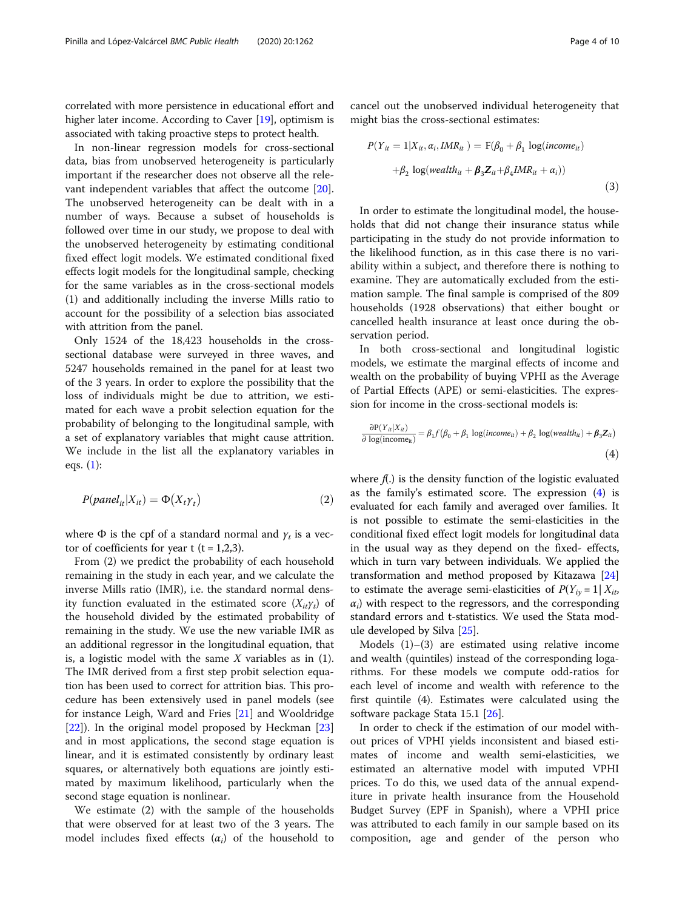correlated with more persistence in educational effort and higher later income. According to Caver [\[19](#page-9-0)], optimism is associated with taking proactive steps to protect health.

In non-linear regression models for cross-sectional data, bias from unobserved heterogeneity is particularly important if the researcher does not observe all the relevant independent variables that affect the outcome [\[20](#page-9-0)]. The unobserved heterogeneity can be dealt with in a number of ways. Because a subset of households is followed over time in our study, we propose to deal with the unobserved heterogeneity by estimating conditional fixed effect logit models. We estimated conditional fixed effects logit models for the longitudinal sample, checking for the same variables as in the cross-sectional models (1) and additionally including the inverse Mills ratio to account for the possibility of a selection bias associated with attrition from the panel.

Only 1524 of the 18,423 households in the crosssectional database were surveyed in three waves, and 5247 households remained in the panel for at least two of the 3 years. In order to explore the possibility that the loss of individuals might be due to attrition, we estimated for each wave a probit selection equation for the probability of belonging to the longitudinal sample, with a set of explanatory variables that might cause attrition. We include in the list all the explanatory variables in eqs. [\(1](#page-2-0)):

$$
P(\text{panel}_{it}|X_{it}) = \Phi(X_t \gamma_t)
$$
\n<sup>(2)</sup>

where  $\Phi$  is the cpf of a standard normal and  $\gamma_t$  is a vector of coefficients for year t  $(t = 1,2,3)$ .

From (2) we predict the probability of each household remaining in the study in each year, and we calculate the inverse Mills ratio (IMR), i.e. the standard normal density function evaluated in the estimated score  $(X_{it}\gamma_t)$  of the household divided by the estimated probability of remaining in the study. We use the new variable IMR as an additional regressor in the longitudinal equation, that is, a logistic model with the same  $X$  variables as in (1). The IMR derived from a first step probit selection equation has been used to correct for attrition bias. This procedure has been extensively used in panel models (see for instance Leigh, Ward and Fries [\[21](#page-9-0)] and Wooldridge [[22\]](#page-9-0)). In the original model proposed by Heckman [[23](#page-9-0)] and in most applications, the second stage equation is linear, and it is estimated consistently by ordinary least squares, or alternatively both equations are jointly estimated by maximum likelihood, particularly when the second stage equation is nonlinear.

We estimate (2) with the sample of the households that were observed for at least two of the 3 years. The model includes fixed effects  $(\alpha_i)$  of the household to cancel out the unobserved individual heterogeneity that might bias the cross-sectional estimates:

$$
P(Y_{it} = 1 | X_{it}, \alpha_i, \text{IMR}_{it}) = F(\beta_0 + \beta_1 \log(income_{it})
$$

$$
+ \beta_2 \log(wealth_{it} + \beta_3 Z_{it} + \beta_4 \text{IMR}_{it} + \alpha_i))
$$
(3)

In order to estimate the longitudinal model, the households that did not change their insurance status while participating in the study do not provide information to the likelihood function, as in this case there is no variability within a subject, and therefore there is nothing to examine. They are automatically excluded from the estimation sample. The final sample is comprised of the 809 households (1928 observations) that either bought or cancelled health insurance at least once during the observation period.

In both cross-sectional and longitudinal logistic models, we estimate the marginal effects of income and wealth on the probability of buying VPHI as the Average of Partial Effects (APE) or semi-elasticities. The expression for income in the cross-sectional models is:

$$
\frac{\partial P(Y_{it}|X_{it})}{\partial \log(\text{income}_{it})} = \beta_1 f(\beta_0 + \beta_1 \log(\text{income}_{it}) + \beta_2 \log(\text{wealth}_{it}) + \beta_3 Z_{it})
$$
\n
$$
\tag{4}
$$

where  $f(.)$  is the density function of the logistic evaluated as the family's estimated score. The expression  $(4)$  is evaluated for each family and averaged over families. It is not possible to estimate the semi-elasticities in the conditional fixed effect logit models for longitudinal data in the usual way as they depend on the fixed- effects, which in turn vary between individuals. We applied the transformation and method proposed by Kitazawa [[24](#page-9-0)] to estimate the average semi-elasticities of  $P(Y_{iv} = 1 | X_{it})$  $\alpha_i$ ) with respect to the regressors, and the corresponding standard errors and t-statistics. We used the Stata module developed by Silva [\[25](#page-9-0)].

Models (1)–(3) are estimated using relative income and wealth (quintiles) instead of the corresponding logarithms. For these models we compute odd-ratios for each level of income and wealth with reference to the first quintile (4). Estimates were calculated using the software package Stata 15.1 [\[26](#page-9-0)].

In order to check if the estimation of our model without prices of VPHI yields inconsistent and biased estimates of income and wealth semi-elasticities, we estimated an alternative model with imputed VPHI prices. To do this, we used data of the annual expenditure in private health insurance from the Household Budget Survey (EPF in Spanish), where a VPHI price was attributed to each family in our sample based on its composition, age and gender of the person who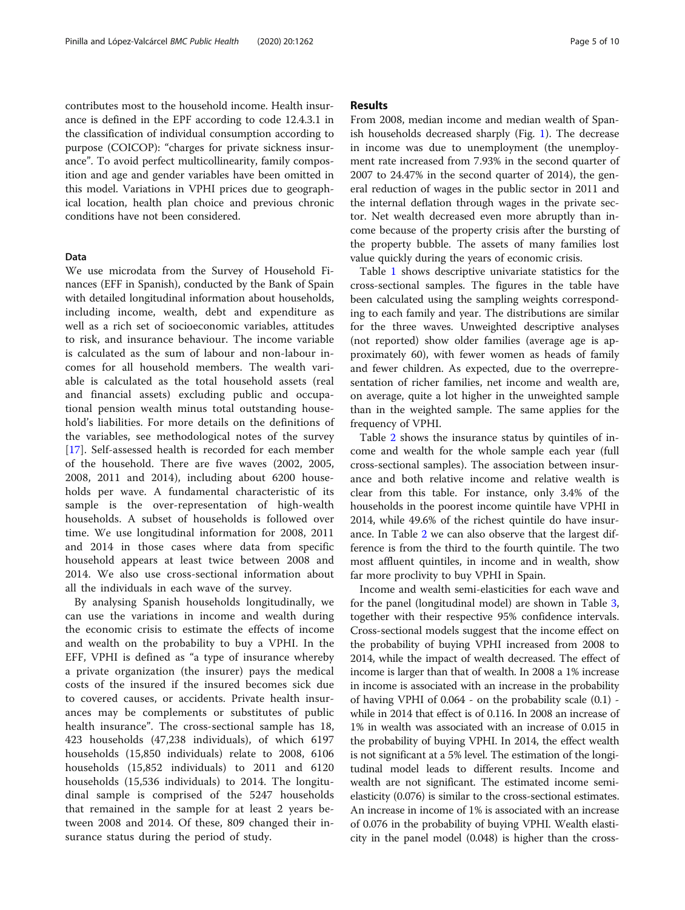contributes most to the household income. Health insurance is defined in the EPF according to code 12.4.3.1 in the classification of individual consumption according to purpose (COICOP): "charges for private sickness insurance". To avoid perfect multicollinearity, family composition and age and gender variables have been omitted in this model. Variations in VPHI prices due to geographical location, health plan choice and previous chronic conditions have not been considered.

# Data

We use microdata from the Survey of Household Finances (EFF in Spanish), conducted by the Bank of Spain with detailed longitudinal information about households, including income, wealth, debt and expenditure as well as a rich set of socioeconomic variables, attitudes to risk, and insurance behaviour. The income variable is calculated as the sum of labour and non-labour incomes for all household members. The wealth variable is calculated as the total household assets (real and financial assets) excluding public and occupational pension wealth minus total outstanding household's liabilities. For more details on the definitions of the variables, see methodological notes of the survey [[17\]](#page-9-0). Self-assessed health is recorded for each member of the household. There are five waves (2002, 2005, 2008, 2011 and 2014), including about 6200 households per wave. A fundamental characteristic of its sample is the over-representation of high-wealth households. A subset of households is followed over time. We use longitudinal information for 2008, 2011 and 2014 in those cases where data from specific household appears at least twice between 2008 and 2014. We also use cross-sectional information about all the individuals in each wave of the survey.

By analysing Spanish households longitudinally, we can use the variations in income and wealth during the economic crisis to estimate the effects of income and wealth on the probability to buy a VPHI. In the EFF, VPHI is defined as "a type of insurance whereby a private organization (the insurer) pays the medical costs of the insured if the insured becomes sick due to covered causes, or accidents. Private health insurances may be complements or substitutes of public health insurance". The cross-sectional sample has 18, 423 households (47,238 individuals), of which 6197 households (15,850 individuals) relate to 2008, 6106 households (15,852 individuals) to 2011 and 6120 households (15,536 individuals) to 2014. The longitudinal sample is comprised of the 5247 households that remained in the sample for at least 2 years between 2008 and 2014. Of these, 809 changed their insurance status during the period of study.

# Results

From 2008, median income and median wealth of Spanish households decreased sharply (Fig. [1](#page-5-0)). The decrease in income was due to unemployment (the unemployment rate increased from 7.93% in the second quarter of 2007 to 24.47% in the second quarter of 2014), the general reduction of wages in the public sector in 2011 and the internal deflation through wages in the private sector. Net wealth decreased even more abruptly than income because of the property crisis after the bursting of the property bubble. The assets of many families lost value quickly during the years of economic crisis.

Table [1](#page-5-0) shows descriptive univariate statistics for the cross-sectional samples. The figures in the table have been calculated using the sampling weights corresponding to each family and year. The distributions are similar for the three waves. Unweighted descriptive analyses (not reported) show older families (average age is approximately 60), with fewer women as heads of family and fewer children. As expected, due to the overrepresentation of richer families, net income and wealth are, on average, quite a lot higher in the unweighted sample than in the weighted sample. The same applies for the frequency of VPHI.

Table [2](#page-6-0) shows the insurance status by quintiles of income and wealth for the whole sample each year (full cross-sectional samples). The association between insurance and both relative income and relative wealth is clear from this table. For instance, only 3.4% of the households in the poorest income quintile have VPHI in 2014, while 49.6% of the richest quintile do have insurance. In Table [2](#page-6-0) we can also observe that the largest difference is from the third to the fourth quintile. The two most affluent quintiles, in income and in wealth, show far more proclivity to buy VPHI in Spain.

Income and wealth semi-elasticities for each wave and for the panel (longitudinal model) are shown in Table [3](#page-6-0), together with their respective 95% confidence intervals. Cross-sectional models suggest that the income effect on the probability of buying VPHI increased from 2008 to 2014, while the impact of wealth decreased. The effect of income is larger than that of wealth. In 2008 a 1% increase in income is associated with an increase in the probability of having VPHI of 0.064 - on the probability scale (0.1) while in 2014 that effect is of 0.116. In 2008 an increase of 1% in wealth was associated with an increase of 0.015 in the probability of buying VPHI. In 2014, the effect wealth is not significant at a 5% level. The estimation of the longitudinal model leads to different results. Income and wealth are not significant. The estimated income semielasticity (0.076) is similar to the cross-sectional estimates. An increase in income of 1% is associated with an increase of 0.076 in the probability of buying VPHI. Wealth elasticity in the panel model (0.048) is higher than the cross-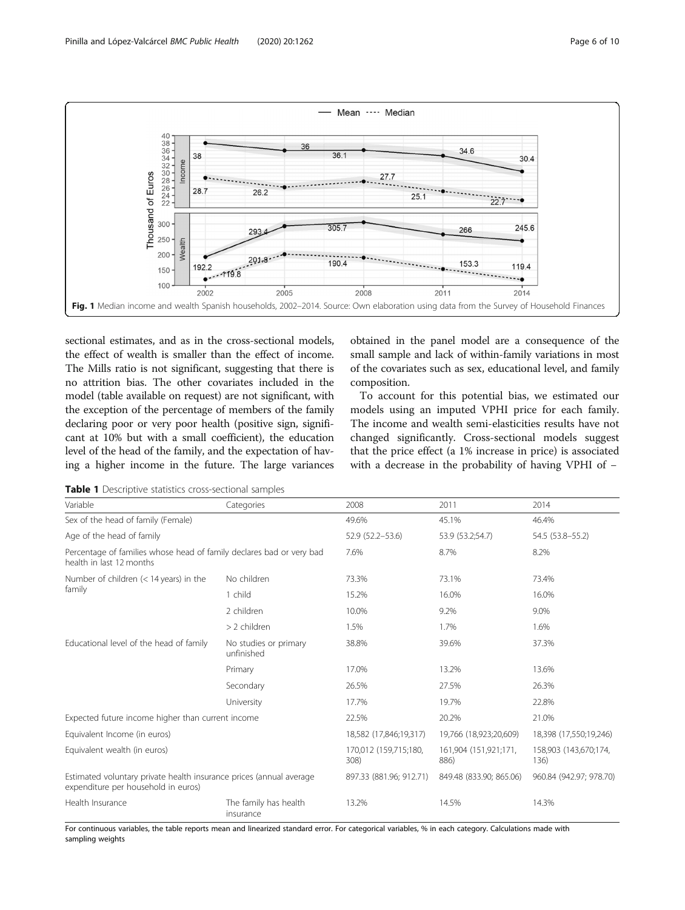<span id="page-5-0"></span>

sectional estimates, and as in the cross-sectional models, the effect of wealth is smaller than the effect of income. The Mills ratio is not significant, suggesting that there is no attrition bias. The other covariates included in the model (table available on request) are not significant, with the exception of the percentage of members of the family declaring poor or very poor health (positive sign, significant at 10% but with a small coefficient), the education level of the head of the family, and the expectation of having a higher income in the future. The large variances obtained in the panel model are a consequence of the small sample and lack of within-family variations in most of the covariates such as sex, educational level, and family composition.

To account for this potential bias, we estimated our models using an imputed VPHI price for each family. The income and wealth semi-elasticities results have not changed significantly. Cross-sectional models suggest that the price effect (a 1% increase in price) is associated with a decrease in the probability of having VPHI of −

Table 1 Descriptive statistics cross-sectional samples

| Variable                                                                                                   | Categories                          | 2008                          | 2011                          | 2014                          |  |
|------------------------------------------------------------------------------------------------------------|-------------------------------------|-------------------------------|-------------------------------|-------------------------------|--|
| Sex of the head of family (Female)                                                                         |                                     | 49.6%                         | 45.1%                         | 46.4%                         |  |
| Age of the head of family                                                                                  |                                     | 52.9 (52.2-53.6)              | 53.9 (53.2;54.7)              | 54.5 (53.8-55.2)              |  |
| Percentage of families whose head of family declares bad or very bad<br>health in last 12 months           |                                     | 7.6%                          | 8.7%                          | 8.2%                          |  |
| Number of children $(< 14$ years) in the                                                                   | No children                         | 73.3%                         | 73.1%                         | 73.4%                         |  |
| family                                                                                                     | 1 child                             | 15.2%                         | 16.0%                         | 16.0%                         |  |
|                                                                                                            | 2 children                          | 10.0%                         | 9.2%                          | 9.0%                          |  |
|                                                                                                            | > 2 children                        | 1.5%                          | 1.7%                          | 1.6%                          |  |
| Educational level of the head of family                                                                    | No studies or primary<br>unfinished | 38.8%                         | 39.6%                         | 37.3%                         |  |
|                                                                                                            | Primary                             | 17.0%                         | 13.2%                         | 13.6%                         |  |
|                                                                                                            | Secondary                           | 26.5%                         | 27.5%                         | 26.3%                         |  |
|                                                                                                            | University                          | 17.7%                         | 19.7%                         | 22.8%                         |  |
| Expected future income higher than current income                                                          |                                     | 22.5%                         | 20.2%                         | 21.0%                         |  |
| Equivalent Income (in euros)                                                                               | 18,582 (17,846;19,317)              | 19,766 (18,923;20,609)        | 18,398 (17,550;19,246)        |                               |  |
| Equivalent wealth (in euros)                                                                               |                                     | 170,012 (159,715;180,<br>308) | 161,904 (151,921;171,<br>886) | 158,903 (143,670;174,<br>136) |  |
| Estimated voluntary private health insurance prices (annual average<br>expenditure per household in euros) |                                     | 897.33 (881.96; 912.71)       | 849.48 (833.90; 865.06)       | 960.84 (942.97; 978.70)       |  |
| Health Insurance                                                                                           | The family has health<br>insurance  | 13.2%                         | 14.5%                         | 14.3%                         |  |

For continuous variables, the table reports mean and linearized standard error. For categorical variables, % in each category. Calculations made with sampling weights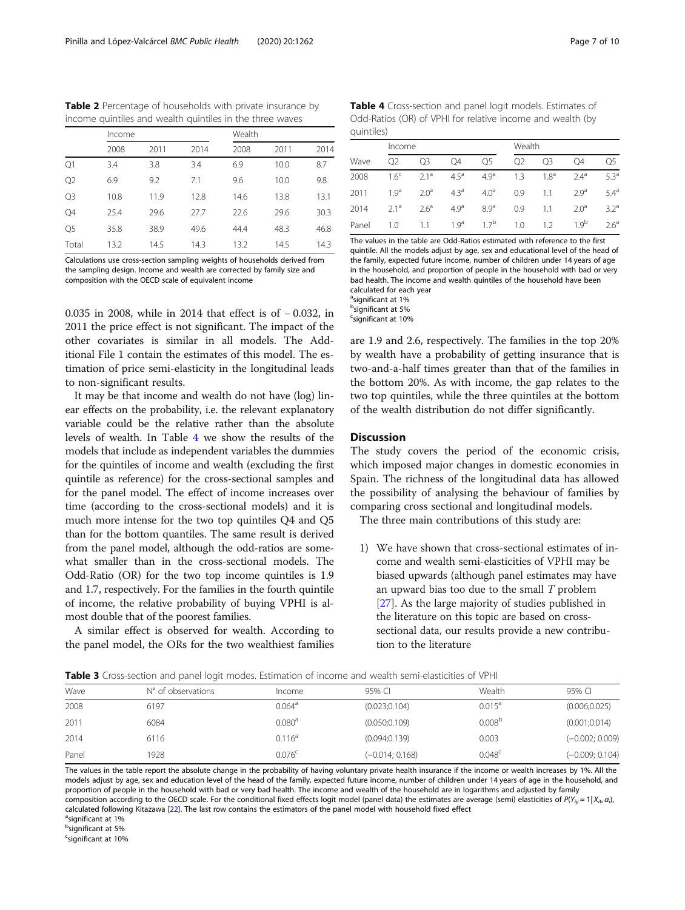<span id="page-6-0"></span>Table 2 Percentage of households with private insurance by income quintiles and wealth quintiles in the three waves

|                | Income |      |      | Wealth |      |      |
|----------------|--------|------|------|--------|------|------|
|                | 2008   | 2011 | 2014 | 2008   | 2011 | 2014 |
| Q1             | 3.4    | 3.8  | 3.4  | 6.9    | 10.0 | 8.7  |
| Q <sub>2</sub> | 6.9    | 9.2  | 7.1  | 9.6    | 10.0 | 9.8  |
| Q <sub>3</sub> | 10.8   | 11.9 | 12.8 | 14.6   | 13.8 | 13.1 |
| Q4             | 25.4   | 29.6 | 27.7 | 22.6   | 29.6 | 30.3 |
| Q <sub>5</sub> | 35.8   | 38.9 | 49.6 | 44.4   | 48.3 | 46.8 |
| Total          | 13.2   | 14.5 | 14.3 | 13.2   | 14.5 | 14.3 |

Calculations use cross-section sampling weights of households derived from the sampling design. Income and wealth are corrected by family size and composition with the OECD scale of equivalent income

0.035 in 2008, while in 2014 that effect is of − 0.032, in 2011 the price effect is not significant. The impact of the other covariates is similar in all models. The Additional File [1](#page-8-0) contain the estimates of this model. The estimation of price semi-elasticity in the longitudinal leads to non-significant results.

It may be that income and wealth do not have (log) linear effects on the probability, i.e. the relevant explanatory variable could be the relative rather than the absolute levels of wealth. In Table 4 we show the results of the models that include as independent variables the dummies for the quintiles of income and wealth (excluding the first quintile as reference) for the cross-sectional samples and for the panel model. The effect of income increases over time (according to the cross-sectional models) and it is much more intense for the two top quintiles Q4 and Q5 than for the bottom quantiles. The same result is derived from the panel model, although the odd-ratios are somewhat smaller than in the cross-sectional models. The Odd-Ratio (OR) for the two top income quintiles is 1.9 and 1.7, respectively. For the families in the fourth quintile of income, the relative probability of buying VPHI is almost double that of the poorest families.

A similar effect is observed for wealth. According to the panel model, the ORs for the two wealthiest families

Table 4 Cross-section and panel logit models. Estimates of Odd-Ratios (OR) of VPHI for relative income and wealth (by quintiles)

|       |                  | Income           |                  |                  |                | Wealth           |                  |                  |  |
|-------|------------------|------------------|------------------|------------------|----------------|------------------|------------------|------------------|--|
| Wave  | Q <sub>2</sub>   | O <sub>3</sub>   | O4               | Q5               | Q <sub>2</sub> | O3               | O4               | O5               |  |
| 2008  | 1.6 <sup>c</sup> | 2.1 <sup>a</sup> | 4.5 <sup>a</sup> | 4.9 <sup>a</sup> | 1.3            | 1.8 <sup>a</sup> | 24 <sup>a</sup>  | 53 <sup>a</sup>  |  |
| 2011  | 19 <sup>a</sup>  | 20 <sup>a</sup>  | $4.3^{\circ}$    | $4.0^{\circ}$    | 0.9            | 1.1              | 29 <sup>a</sup>  | $5.4^{\circ}$    |  |
| 2014  | $2.1^a$          | 2.6 <sup>a</sup> | 4.9 <sup>a</sup> | 8.9 <sup>a</sup> | 0.9            | 1.1              | 2.0 <sup>a</sup> | 3.2 <sup>a</sup> |  |
| Panel | 1.0              | 11               | 19 <sup>a</sup>  | 17 <sup>b</sup>  | 1.0            | 12               | 19 <sup>b</sup>  | 2.6 <sup>a</sup> |  |

The values in the table are Odd-Ratios estimated with reference to the first quintile. All the models adjust by age, sex and educational level of the head of the family, expected future income, number of children under 14 years of age in the household, and proportion of people in the household with bad or very bad health. The income and wealth quintiles of the household have been calculated for each year

<sup>a</sup>significant at 1%

b significant at 5%

<sup>c</sup>significant at 10%

are 1.9 and 2.6, respectively. The families in the top 20% by wealth have a probability of getting insurance that is two-and-a-half times greater than that of the families in the bottom 20%. As with income, the gap relates to the two top quintiles, while the three quintiles at the bottom of the wealth distribution do not differ significantly.

# **Discussion**

The study covers the period of the economic crisis, which imposed major changes in domestic economies in Spain. The richness of the longitudinal data has allowed the possibility of analysing the behaviour of families by comparing cross sectional and longitudinal models.

The three main contributions of this study are:

1) We have shown that cross-sectional estimates of income and wealth semi-elasticities of VPHI may be biased upwards (although panel estimates may have an upward bias too due to the small  $T$  problem [[27](#page-9-0)]. As the large majority of studies published in the literature on this topic are based on crosssectional data, our results provide a new contribution to the literature

| Wave  | N° of observations | Income             | 95% CI            | Wealth             | 95% CI            |
|-------|--------------------|--------------------|-------------------|--------------------|-------------------|
| 2008  | 6197               | $0.064^{\circ}$    | (0.023; 0.104)    | $0.015^a$          | (0.006; 0.025)    |
| 2011  | 6084               | 0.080 <sup>a</sup> | (0.050; 0.109)    | 0.008 <sup>b</sup> | (0.001; 0.014)    |
| 2014  | 6116               | 0.116 <sup>a</sup> | (0.094; 0.139)    | 0.003              | $(-0.002; 0.009)$ |
| Panel | 1928               | 0.076 <sup>c</sup> | $(-0.014; 0.168)$ | 0.048 <sup>c</sup> | $(-0.009; 0.104)$ |

The values in the table report the absolute change in the probability of having voluntary private health insurance if the income or wealth increases by 1%. All the models adjust by age, sex and education level of the head of the family, expected future income, number of children under 14 years of age in the household, and proportion of people in the household with bad or very bad health. The income and wealth of the household are in logarithms and adjusted by family composition according to the OECD scale. For the conditional fixed effects logit model (panel data) the estimates are average (semi) elasticities of  $P(Y_{ip} = 1 | X_{ih} a_i)$ calculated following Kitazawa [[22\]](#page-9-0). The last row contains the estimators of the panel model with household fixed effect

<sup>a</sup>significant at 1%

b<br>significant at 5%

<sup>c</sup>significant at 10%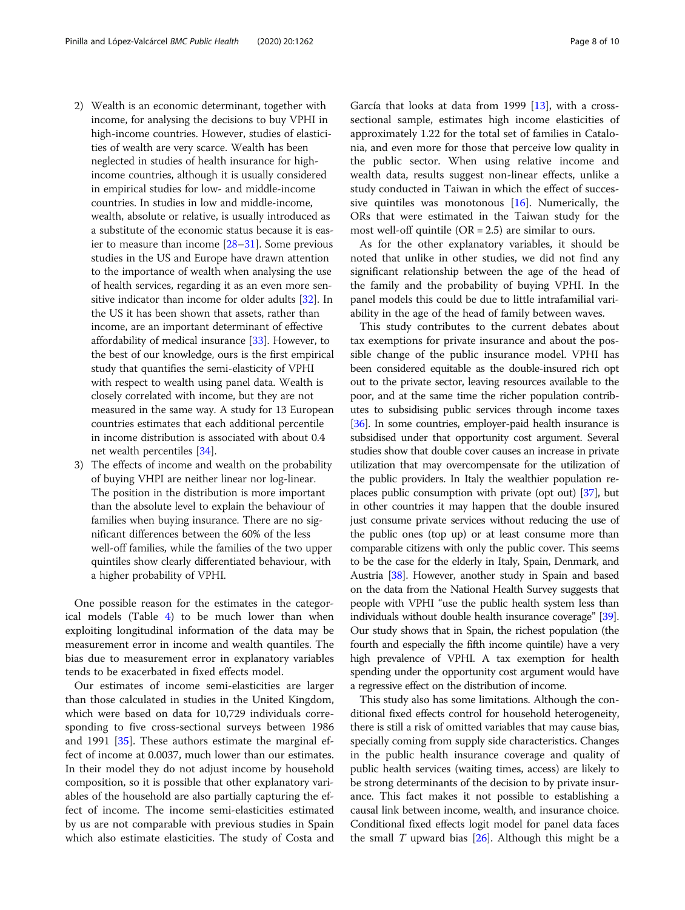- 2) Wealth is an economic determinant, together with income, for analysing the decisions to buy VPHI in high-income countries. However, studies of elasticities of wealth are very scarce. Wealth has been neglected in studies of health insurance for highincome countries, although it is usually considered in empirical studies for low- and middle-income countries. In studies in low and middle-income, wealth, absolute or relative, is usually introduced as a substitute of the economic status because it is easier to measure than income [[28](#page-9-0)–[31](#page-9-0)]. Some previous studies in the US and Europe have drawn attention to the importance of wealth when analysing the use of health services, regarding it as an even more sen-sitive indicator than income for older adults [\[32\]](#page-9-0). In the US it has been shown that assets, rather than income, are an important determinant of effective affordability of medical insurance [[33](#page-9-0)]. However, to the best of our knowledge, ours is the first empirical study that quantifies the semi-elasticity of VPHI with respect to wealth using panel data. Wealth is closely correlated with income, but they are not measured in the same way. A study for 13 European countries estimates that each additional percentile in income distribution is associated with about 0.4 net wealth percentiles [[34](#page-9-0)].
- 3) The effects of income and wealth on the probability of buying VHPI are neither linear nor log-linear. The position in the distribution is more important than the absolute level to explain the behaviour of families when buying insurance. There are no significant differences between the 60% of the less well-off families, while the families of the two upper quintiles show clearly differentiated behaviour, with a higher probability of VPHI.

One possible reason for the estimates in the categorical models (Table [4](#page-6-0)) to be much lower than when exploiting longitudinal information of the data may be measurement error in income and wealth quantiles. The bias due to measurement error in explanatory variables tends to be exacerbated in fixed effects model.

Our estimates of income semi-elasticities are larger than those calculated in studies in the United Kingdom, which were based on data for 10,729 individuals corresponding to five cross-sectional surveys between 1986 and 1991 [[35](#page-9-0)]. These authors estimate the marginal effect of income at 0.0037, much lower than our estimates. In their model they do not adjust income by household composition, so it is possible that other explanatory variables of the household are also partially capturing the effect of income. The income semi-elasticities estimated by us are not comparable with previous studies in Spain which also estimate elasticities. The study of Costa and

García that looks at data from 1999 [[13](#page-8-0)], with a crosssectional sample, estimates high income elasticities of approximately 1.22 for the total set of families in Catalonia, and even more for those that perceive low quality in the public sector. When using relative income and wealth data, results suggest non-linear effects, unlike a study conducted in Taiwan in which the effect of successive quintiles was monotonous [\[16](#page-8-0)]. Numerically, the ORs that were estimated in the Taiwan study for the most well-off quintile  $(OR = 2.5)$  are similar to ours.

As for the other explanatory variables, it should be noted that unlike in other studies, we did not find any significant relationship between the age of the head of the family and the probability of buying VPHI. In the panel models this could be due to little intrafamilial variability in the age of the head of family between waves.

This study contributes to the current debates about tax exemptions for private insurance and about the possible change of the public insurance model. VPHI has been considered equitable as the double-insured rich opt out to the private sector, leaving resources available to the poor, and at the same time the richer population contributes to subsidising public services through income taxes [[36](#page-9-0)]. In some countries, employer-paid health insurance is subsidised under that opportunity cost argument. Several studies show that double cover causes an increase in private utilization that may overcompensate for the utilization of the public providers. In Italy the wealthier population replaces public consumption with private (opt out) [\[37\]](#page-9-0), but in other countries it may happen that the double insured just consume private services without reducing the use of the public ones (top up) or at least consume more than comparable citizens with only the public cover. This seems to be the case for the elderly in Italy, Spain, Denmark, and Austria [\[38\]](#page-9-0). However, another study in Spain and based on the data from the National Health Survey suggests that people with VPHI "use the public health system less than individuals without double health insurance coverage" [\[39](#page-9-0)]. Our study shows that in Spain, the richest population (the fourth and especially the fifth income quintile) have a very high prevalence of VPHI. A tax exemption for health spending under the opportunity cost argument would have a regressive effect on the distribution of income.

This study also has some limitations. Although the conditional fixed effects control for household heterogeneity, there is still a risk of omitted variables that may cause bias, specially coming from supply side characteristics. Changes in the public health insurance coverage and quality of public health services (waiting times, access) are likely to be strong determinants of the decision to by private insurance. This fact makes it not possible to establishing a causal link between income, wealth, and insurance choice. Conditional fixed effects logit model for panel data faces the small  $T$  upward bias  $[26]$  $[26]$  $[26]$ . Although this might be a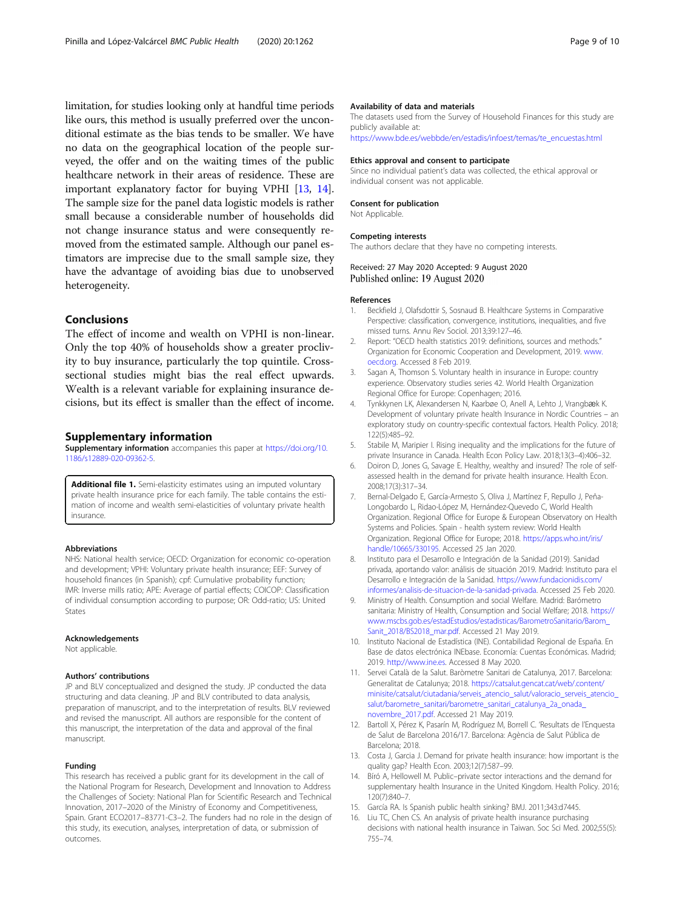<span id="page-8-0"></span>limitation, for studies looking only at handful time periods like ours, this method is usually preferred over the unconditional estimate as the bias tends to be smaller. We have no data on the geographical location of the people surveyed, the offer and on the waiting times of the public healthcare network in their areas of residence. These are important explanatory factor for buying VPHI [13, 14]. The sample size for the panel data logistic models is rather small because a considerable number of households did not change insurance status and were consequently removed from the estimated sample. Although our panel estimators are imprecise due to the small sample size, they have the advantage of avoiding bias due to unobserved heterogeneity.

# Conclusions

The effect of income and wealth on VPHI is non-linear. Only the top 40% of households show a greater proclivity to buy insurance, particularly the top quintile. Crosssectional studies might bias the real effect upwards. Wealth is a relevant variable for explaining insurance decisions, but its effect is smaller than the effect of income.

## Supplementary information

Supplementary information accompanies this paper at [https://doi.org/10.](https://doi.org/10.1186/s12889-020-09362-5) [1186/s12889-020-09362-5](https://doi.org/10.1186/s12889-020-09362-5).

Additional file 1. Semi-elasticity estimates using an imputed voluntary private health insurance price for each family. The table contains the estimation of income and wealth semi-elasticities of voluntary private health insurance.

# Abbreviations

NHS: National health service; OECD: Organization for economic co-operation and development; VPHI: Voluntary private health insurance; EEF: Survey of household finances (in Spanish); cpf: Cumulative probability function; IMR: Inverse mills ratio; APE: Average of partial effects; COICOP: Classification of individual consumption according to purpose; OR: Odd-ratio; US: United States

#### Acknowledgements

Not applicable.

# Authors' contributions

JP and BLV conceptualized and designed the study. JP conducted the data structuring and data cleaning. JP and BLV contributed to data analysis, preparation of manuscript, and to the interpretation of results. BLV reviewed and revised the manuscript. All authors are responsible for the content of this manuscript, the interpretation of the data and approval of the final manuscript.

## Funding

This research has received a public grant for its development in the call of the National Program for Research, Development and Innovation to Address the Challenges of Society: National Plan for Scientific Research and Technical Innovation, 2017–2020 of the Ministry of Economy and Competitiveness, Spain. Grant ECO2017–83771-C3–2. The funders had no role in the design of this study, its execution, analyses, interpretation of data, or submission of outcomes.

# Availability of data and materials

The datasets used from the Survey of Household Finances for this study are publicly available at:

[https://www.bde.es/webbde/en/estadis/infoest/temas/te\\_encuestas.html](https://www.bde.es/webbde/en/estadis/infoest/temas/te_encuestas.html)

#### Ethics approval and consent to participate

Since no individual patient's data was collected, the ethical approval or individual consent was not applicable.

## Consent for publication

Not Applicable.

#### Competing interests

The authors declare that they have no competing interests.

# Received: 27 May 2020 Accepted: 9 August 2020 Published online: 19 August 2020

#### References

- 1. Beckfield J, Olafsdottir S, Sosnaud B. Healthcare Systems in Comparative Perspective: classification, convergence, institutions, inequalities, and five missed turns. Annu Rev Sociol. 2013;39:127–46.
- 2. Report: "OECD health statistics 2019: definitions, sources and methods." Organization for Economic Cooperation and Development, 2019. [www.](http://www.oecd.org) [oecd.org.](http://www.oecd.org) Accessed 8 Feb 2019.
- 3. Sagan A, Thomson S. Voluntary health in insurance in Europe: country experience. Observatory studies series 42. World Health Organization Regional Office for Europe: Copenhagen; 2016.
- 4. Tynkkynen LK, Alexandersen N, Kaarbøe O, Anell A, Lehto J, Vrangbæk K. Development of voluntary private health Insurance in Nordic Countries – an exploratory study on country-specific contextual factors. Health Policy. 2018; 122(5):485–92.
- 5. Stabile M, Maripier I. Rising inequality and the implications for the future of private Insurance in Canada. Health Econ Policy Law. 2018;13(3–4):406–32.
- 6. Doiron D, Jones G, Savage E. Healthy, wealthy and insured? The role of selfassessed health in the demand for private health insurance. Health Econ. 2008;17(3):317–34.
- 7. Bernal-Delgado E, García-Armesto S, Oliva J, Martínez F, Repullo J, Peña-Longobardo L, Ridao-López M, Hernández-Quevedo C, World Health Organization. Regional Office for Europe & European Observatory on Health Systems and Policies. Spain - health system review: World Health Organization. Regional Office for Europe; 2018. [https://apps.who.int/iris/](https://apps.who.int/iris/handle/10665/330195) [handle/10665/330195.](https://apps.who.int/iris/handle/10665/330195) Accessed 25 Jan 2020.
- 8. Instituto para el Desarrollo e Integración de la Sanidad (2019). Sanidad privada, aportando valor: análisis de situación 2019. Madrid: Instituto para el Desarrollo e Integración de la Sanidad. [https://www.fundacionidis.com/](https://www.fundacionidis.com/informes/analisis-de-situacion-de-la-sanidad-privada) [informes/analisis-de-situacion-de-la-sanidad-privada.](https://www.fundacionidis.com/informes/analisis-de-situacion-de-la-sanidad-privada) Accessed 25 Feb 2020.
- 9. Ministry of Health. Consumption and social Welfare. Madrid: Barómetro sanitaria: Ministry of Health, Consumption and Social Welfare; 2018. [https://](https://www.mscbs.gob.es/estadEstudios/estadisticas/BarometroSanitario/Barom_Sanit_2018/BS2018_mar.pdf) [www.mscbs.gob.es/estadEstudios/estadisticas/BarometroSanitario/Barom\\_](https://www.mscbs.gob.es/estadEstudios/estadisticas/BarometroSanitario/Barom_Sanit_2018/BS2018_mar.pdf) [Sanit\\_2018/BS2018\\_mar.pdf](https://www.mscbs.gob.es/estadEstudios/estadisticas/BarometroSanitario/Barom_Sanit_2018/BS2018_mar.pdf). Accessed 21 May 2019.
- 10. Instituto Nacional de Estadística (INE). Contabilidad Regional de España. En Base de datos electrónica INEbase. Economía: Cuentas Económicas. Madrid; 2019. <http://www.ine.es>. Accessed 8 May 2020.
- 11. Servei Català de la Salut. Baròmetre Sanitari de Catalunya, 2017. Barcelona: Generalitat de Catalunya; 2018. [https://catsalut.gencat.cat/web/.content/](https://catsalut.gencat.cat/web/.content/minisite/catsalut/ciutadania/serveis_atencio_salut/valoracio_serveis_atencio_salut/barometre_sanitari/barometre_sanitari_catalunya_2a_onada_novembre_2017.pdf) [minisite/catsalut/ciutadania/serveis\\_atencio\\_salut/valoracio\\_serveis\\_atencio\\_](https://catsalut.gencat.cat/web/.content/minisite/catsalut/ciutadania/serveis_atencio_salut/valoracio_serveis_atencio_salut/barometre_sanitari/barometre_sanitari_catalunya_2a_onada_novembre_2017.pdf) [salut/barometre\\_sanitari/barometre\\_sanitari\\_catalunya\\_2a\\_onada\\_](https://catsalut.gencat.cat/web/.content/minisite/catsalut/ciutadania/serveis_atencio_salut/valoracio_serveis_atencio_salut/barometre_sanitari/barometre_sanitari_catalunya_2a_onada_novembre_2017.pdf) [novembre\\_2017.pdf](https://catsalut.gencat.cat/web/.content/minisite/catsalut/ciutadania/serveis_atencio_salut/valoracio_serveis_atencio_salut/barometre_sanitari/barometre_sanitari_catalunya_2a_onada_novembre_2017.pdf). Accessed 21 May 2019.
- 12. Bartoll X, Pérez K, Pasarín M, Rodríguez M, Borrell C. 'Resultats de l'Enquesta de Salut de Barcelona 2016/17. Barcelona: Agència de Salut Pública de Barcelona; 2018.
- 13. Costa J, Garcia J. Demand for private health insurance: how important is the quality gap? Health Econ. 2003;12(7):587–99.
- 14. Bíró A, Hellowell M. Public–private sector interactions and the demand for supplementary health Insurance in the United Kingdom. Health Policy. 2016; 120(7):840–7.
- 15. García RA. Is Spanish public health sinking? BMJ. 2011;343:d7445.
- 16. Liu TC, Chen CS. An analysis of private health insurance purchasing decisions with national health insurance in Taiwan. Soc Sci Med. 2002;55(5): 755–74.